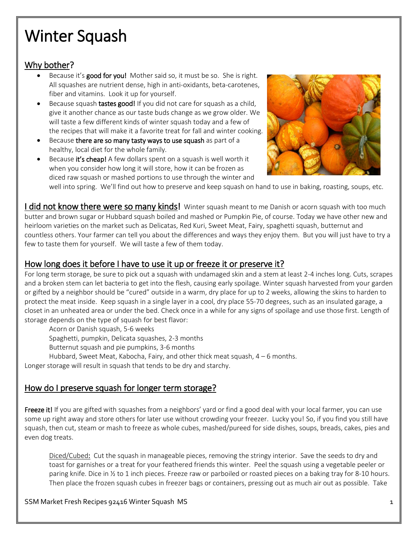# Winter Squash

## Why bother?

- Because it's good for you! Mother said so, it must be so. She is right. All squashes are nutrient dense, high in anti-oxidants, beta-carotenes, fiber and vitamins. Look it up for yourself.
- Because squash tastes good! If you did not care for squash as a child, give it another chance as our taste buds change as we grow older. We will taste a few different kinds of winter squash today and a few of the recipes that will make it a favorite treat for fall and winter cooking.
- Because there are so many tasty ways to use squash as part of a healthy, local diet for the whole family.
- Because it's cheap! A few dollars spent on a squash is well worth it when you consider how long it will store, how it can be frozen as diced raw squash or mashed portions to use through the winter and



well into spring. We'll find out how to preserve and keep squash on hand to use in baking, roasting, soups, etc.

**I did not know there were so many kinds!** Winter squash meant to me Danish or acorn squash with too much butter and brown sugar or Hubbard squash boiled and mashed or Pumpkin Pie, of course. Today we have other new and heirloom varieties on the market such as Delicatas, Red Kuri, Sweet Meat, Fairy, spaghetti squash, butternut and countless others. Your farmer can tell you about the differences and ways they enjoy them. But you will just have to try a few to taste them for yourself. We will taste a few of them today.

## How long does it before I have to use it up or freeze it or preserve it?

For long term storage, be sure to pick out a squash with undamaged skin and a stem at least 2-4 inches long. Cuts, scrapes and a broken stem can let bacteria to get into the flesh, causing early spoilage. Winter squash harvested from your garden or gifted by a neighbor should be "cured" outside in a warm, dry place for up to 2 weeks, allowing the skins to harden to protect the meat inside. Keep squash in a single layer in a cool, dry place 55-70 degrees, such as an insulated garage, a closet in an unheated area or under the bed. Check once in a while for any signs of spoilage and use those first. Length of storage depends on the type of squash for best flavor:

Acorn or Danish squash, 5-6 weeks

Spaghetti, pumpkin, Delicata squashes, 2-3 months

Butternut squash and pie pumpkins, 3-6 months

Hubbard, Sweet Meat, Kabocha, Fairy, and other thick meat squash, 4 – 6 months.

Longer storage will result in squash that tends to be dry and starchy.

## How do I preserve squash for longer term storage?

Freeze it! If you are gifted with squashes from a neighbors' yard or find a good deal with your local farmer, you can use some up right away and store others for later use without crowding your freezer. Lucky you! So, if you find you still have squash, then cut, steam or mash to freeze as whole cubes, mashed/pureed for side dishes, soups, breads, cakes, pies and even dog treats.

Diced/Cubed: Cut the squash in manageable pieces, removing the stringy interior. Save the seeds to dry and toast for garnishes or a treat for your feathered friends this winter. Peel the squash using a vegetable peeler or paring knife. Dice in ½ to 1 inch pieces. Freeze raw or parboiled or roasted pieces on a baking tray for 8-10 hours. Then place the frozen squash cubes in freezer bags or containers, pressing out as much air out as possible. Take

#### SSM Market Fresh Recipes 92416 Winter Squash MS 1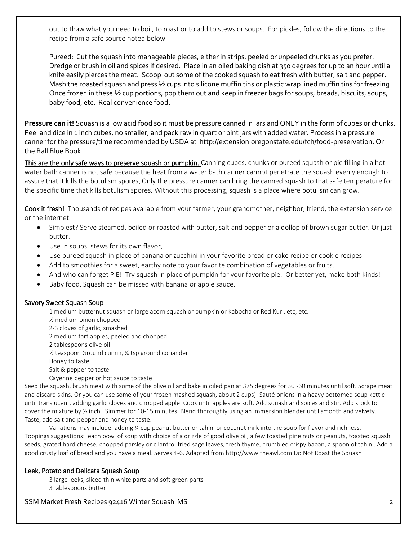out to thaw what you need to boil, to roast or to add to stews or soups. For pickles, follow the directions to the recipe from a safe source noted below.

Pureed: Cut the squash into manageable pieces, either in strips, peeled or unpeeled chunks as you prefer. Dredge or brush in oil and spices if desired. Place in an oiled baking dish at 350 degrees for up to an hour until a knife easily pierces the meat. Scoop out some of the cooked squash to eat fresh with butter, salt and pepper. Mash the roasted squash and press ½ cups into silicone muffin tins or plastic wrap lined muffin tins for freezing. Once frozen in these ½ cup portions, pop them out and keep in freezer bags for soups, breads, biscuits, soups, baby food, etc. Real convenience food.

**Pressure can it!** Squash is a low acid food so it must be pressure canned in jars and ONLY in the form of cubes or chunks. Peel and dice in 1 inch cubes, no smaller, and pack raw in quart or pint jars with added water. Process in a pressure canner for the pressure/time recommended by USDA at [http://extension.oregonstate.edu/fch/food-preservation.](http://extension.oregonstate.edu/fch/food-preservation) Or the Ball Blue Book.

This are the only safe ways to preserve squash or pumpkin. Canning cubes, chunks or pureed squash or pie filling in a hot water bath canner is not safe because the heat from a water bath canner cannot penetrate the squash evenly enough to assure that it kills the botulism spores. Only the pressure canner can bring the canned squash to that safe temperature for the specific time that kills botulism spores. Without this processing, squash is a place where botulism can grow.

Cook it fresh! Thousands of recipes available from your farmer, your grandmother, neighbor, friend, the extension service or the internet.

- Simplest? Serve steamed, boiled or roasted with butter, salt and pepper or a dollop of brown sugar butter. Or just butter.
- Use in soups, stews for its own flavor,
- Use pureed squash in place of banana or zucchini in your favorite bread or cake recipe or cookie recipes.
- Add to smoothies for a sweet, earthy note to your favorite combination of vegetables or fruits.
- And who can forget PIE! Try squash in place of pumpkin for your favorite pie. Or better yet, make both kinds!
- Baby food. Squash can be missed with banana or apple sauce.

#### Savory Sweet Squash Soup

1 medium butternut squash or large acorn squash or pumpkin or Kabocha or Red Kuri, etc, etc.

- ½ medium onion chopped
- 2-3 cloves of garlic, smashed
- 2 medium tart apples, peeled and chopped
- 2 tablespoons olive oil
- ½ teaspoon Ground cumin, ¼ tsp ground coriander
- Honey to taste

Salt & pepper to taste

Cayenne pepper or hot sauce to taste

Seed the squash, brush meat with some of the olive oil and bake in oiled pan at 375 degrees for 30 -60 minutes until soft. Scrape meat and discard skins. Or you can use some of your frozen mashed squash, about 2 cups). Sauté onions in a heavy bottomed soup kettle until translucent, adding garlic cloves and chopped apple. Cook until apples are soft. Add squash and spices and stir. Add stock to cover the mixture by ½ inch. Simmer for 10-15 minutes. Blend thoroughly using an immersion blender until smooth and velvety. Taste, add salt and pepper and honey to taste.

Variations may include: adding ¼ cup peanut butter or tahini or coconut milk into the soup for flavor and richness. Toppings suggestions: each bowl of soup with choice of a drizzle of good olive oil, a few toasted pine nuts or peanuts, toasted squash seeds, grated hard cheese, chopped parsley or cilantro, fried sage leaves, fresh thyme, crumbled crispy bacon, a spoon of tahini. Add a good crusty loaf of bread and you have a meal. Serves 4-6. Adapted from [http://www.theawl.com](http://www.theawl.com/) Do Not Roast the Squash

#### Leek, Potato and Delicata Squash Soup

3 large leeks, sliced thin white parts and soft green parts 3Tablespoons butter

SSM Market Fresh Recipes 92416 Winter Squash MS 2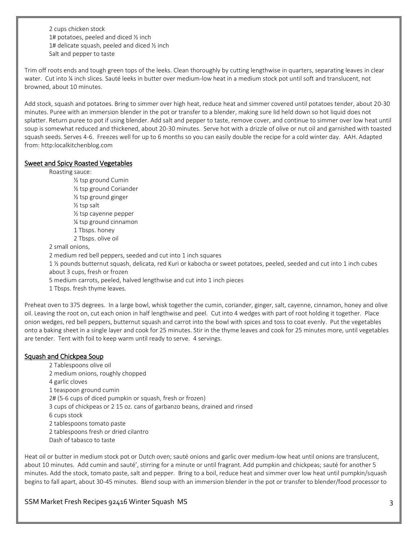2 cups chicken stock 1# potatoes, peeled and diced ½ inch 1# delicate squash, peeled and diced ½ inch Salt and pepper to taste

Trim off roots ends and tough green tops of the leeks. Clean thoroughly by cutting lengthwise in quarters, separating leaves in clear water. Cut into ¼ inch slices. Sauté leeks in butter over medium-low heat in a medium stock pot until soft and translucent, not browned, about 10 minutes.

Add stock, squash and potatoes. Bring to simmer over high heat, reduce heat and simmer covered until potatoes tender, about 20-30 minutes. Puree with an immersion blender in the pot or transfer to a blender, making sure lid held down so hot liquid does not splatter. Return puree to pot if using blender. Add salt and pepper to taste, remove cover, and continue to simmer over low heat until soup is somewhat reduced and thickened, about 20-30 minutes. Serve hot with a drizzle of olive or nut oil and garnished with toasted squash seeds. Serves 4-6. Freezes well for up to 6 months so you can easily double the recipe for a cold winter day. AAH. Adapted from: http:localkitchenblog.com

#### Sweet and Spicy Roasted Vegetables

Roasting sauce:

½ tsp ground Cumin ½ tsp ground Coriander ½ tsp ground ginger ½ tsp salt ½ tsp cayenne pepper ¼ tsp ground cinnamon 1 Tbsps. honey 2 Tbsps. olive oil

2 small onions,

2 medium red bell peppers, seeded and cut into 1 inch squares

1 ½ pounds butternut squash, delicata, red Kuri or kabocha or sweet potatoes, peeled, seeded and cut into 1 inch cubes about 3 cups, fresh or frozen

- 5 medium carrots, peeled, halved lengthwise and cut into 1 inch pieces
- 1 Tbsps. fresh thyme leaves.

Preheat oven to 375 degrees. In a large bowl, whisk together the cumin, coriander, ginger, salt, cayenne, cinnamon, honey and olive oil. Leaving the root on, cut each onion in half lengthwise and peel. Cut into 4 wedges with part of root holding it together. Place onion wedges, red bell peppers, butternut squash and carrot into the bowl with spices and toss to coat evenly. Put the vegetables onto a baking sheet in a single layer and cook for 25 minutes. Stir in the thyme leaves and cook for 25 minutes more, until vegetables are tender. Tent with foil to keep warm until ready to serve. 4 servings.

#### Squash and Chickpea Soup

- 2 Tablespoons olive oil 2 medium onions, roughly chopped 4 garlic cloves 1 teaspoon ground cumin 2# (5-6 cups of diced pumpkin or squash, fresh or frozen) 3 cups of chickpeas or 2 15 oz. cans of garbanzo beans, drained and rinsed 6 cups stock 2 tablespoons tomato paste 2 tablespoons fresh or dried cilantro Dash of tabasco to taste
- Heat oil or butter in medium stock pot or Dutch oven; sauté onions and garlic over medium-low heat until onions are translucent, about 10 minutes. Add cumin and sauté', stirring for a minute or until fragrant. Add pumpkin and chickpeas; sauté for another 5 minutes. Add the stock, tomato paste, salt and pepper. Bring to a boil, reduce heat and simmer over low heat until pumpkin/squash begins to fall apart, about 30-45 minutes. Blend soup with an immersion blender in the pot or transfer to blender/food processor to

### SSM Market Fresh Recipes 92416 Winter Squash MS 3